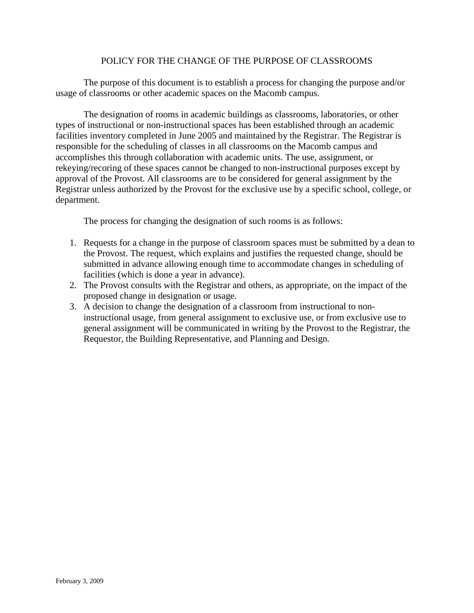## POLICY FOR THE CHANGE OF THE PURPOSE OF CLASSROOMS

The purpose of this document is to establish a process for changing the purpose and/or usage of classrooms or other academic spaces on the Macomb campus.

The designation of rooms in academic buildings as classrooms, laboratories, or other types of instructional or non-instructional spaces has been established through an academic facilities inventory completed in June 2005 and maintained by the Registrar. The Registrar is responsible for the scheduling of classes in all classrooms on the Macomb campus and accomplishes this through collaboration with academic units. The use, assignment, or rekeying/recoring of these spaces cannot be changed to non-instructional purposes except by approval of the Provost. All classrooms are to be considered for general assignment by the Registrar unless authorized by the Provost for the exclusive use by a specific school, college, or department.

The process for changing the designation of such rooms is as follows:

- 1. Requests for a change in the purpose of classroom spaces must be submitted by a dean to the Provost. The request, which explains and justifies the requested change, should be submitted in advance allowing enough time to accommodate changes in scheduling of facilities (which is done a year in advance).
- 2. The Provost consults with the Registrar and others, as appropriate, on the impact of the proposed change in designation or usage.
- 3. A decision to change the designation of a classroom from instructional to noninstructional usage, from general assignment to exclusive use, or from exclusive use to general assignment will be communicated in writing by the Provost to the Registrar, the Requestor, the Building Representative, and Planning and Design.